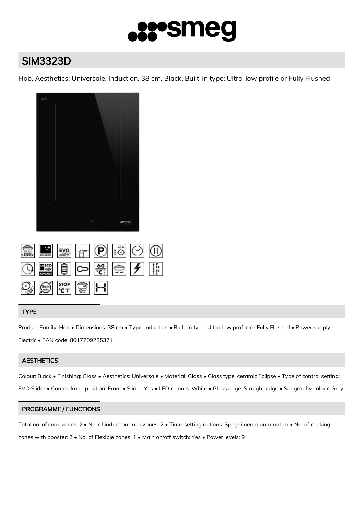

# SIM3323D

Hob, Aesthetics: Universale, Induction, 38 cm, Black, Built-in type: Ultra-low profile or Fully Flushed



|  |                                                                                                               | SI END T P : O O                                                                                                                                     |  |
|--|---------------------------------------------------------------------------------------------------------------|------------------------------------------------------------------------------------------------------------------------------------------------------|--|
|  |                                                                                                               | $\bigcirc$ $\frac{1}{2}$ $\bigcirc$ $\bigcirc$ $\frac{1}{2}$ $\bigcirc$ $\bigcirc$ $\bigcirc$ $\bigcirc$ $\bigcirc$ $\bigcirc$ $\bigcirc$ $\bigcirc$ |  |
|  | $\bigcirc$ $\bigcirc$ $\bigcirc$ $\bigcirc$ $\bigcirc$ $\bigcirc$ $\bigcirc$ $\bigcirc$ $\bigcirc$ $\bigcirc$ |                                                                                                                                                      |  |

# TYPE

Product Family: Hob • Dimensions: 38 cm • Type: Induction • Built-in type: Ultra-low profile or Fully Flushed • Power supply: Electric • EAN code: 8017709285371

# **AESTHETICS**

Colour: Black • Finishing: Glass • Aesthetics: Universale • Material: Glass • Glass type: ceramic Eclipse • Type of control setting: EVO Slider • Control knob position: Front • Slider: Yes • LED colours: White • Glass edge: Straight edge • Serigraphy colour: Grey

# PROGRAMME / FUNCTIONS

Total no. of cook zones: 2 • No. of induction cook zones: 2 • Time-setting options: Spegnimento automatico • No. of cooking zones with booster: 2 • No. of Flexible zones: 1 • Main on/off switch: Yes • Power levels: 9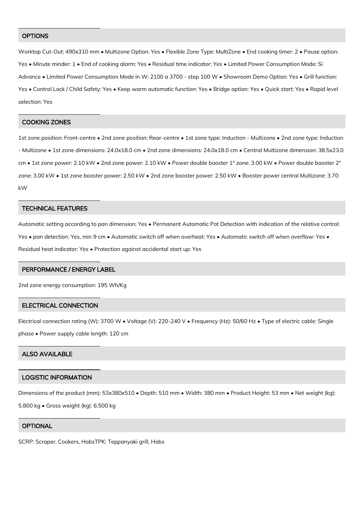#### **OPTIONS**

Worktop Cut-Out: 490x310 mm • Multizone Option: Yes • Flexible Zone Type: MultiZone • End cooking timer: 2 • Pause option: Yes • Minute minder: 1 • End of cooking alarm: Yes • Residual time indicator: Yes • Limited Power Consumption Mode: Si Advance • Limited Power Consumption Mode in W: 2100 a 3700 - step 100 W • Showroom Demo Option: Yes • Grill function: Yes • Control Lock / Child Safety: Yes • Keep warm automatic function: Yes • Bridge option: Yes • Quick start: Yes • Rapid level selection: Yes

#### COOKING ZONES

1st zone position: Front-centre • 2nd zone position: Rear-centre • 1st zone type: Induction - Multizone • 2nd zone type: Induction - Multizone • 1st zone dimensions: 24.0x18.0 cm • 2nd zone dimensions: 24.0x18.0 cm • Central Multizone dimension: 38.5x23.0 cm • 1st zone power: 2.10 kW • 2nd zone power: 2.10 kW • Power double booster 1° zone: 3.00 kW • Power double booster 2° zone: 3.00 kW • 1st zone booster power: 2.50 kW • 2nd zone booster power: 2.50 kW • Booster power central Multizone: 3.70 kW

#### TECHNICAL FEATURES

Automatic setting according to pan dimension: Yes • Permanent Automatic Pot Detection with indication of the relative control: Yes • pan detection: Yes, min 9 cm • Automatic switch off when overheat: Yes • Automatic switch off when overflow: Yes • Residual heat indicator: Yes • Protection against accidental start up: Yes

#### PERFORMANCE / ENERGY LABEL

2nd zone energy consumption: 195 Wh/Kg

## ELECTRICAL CONNECTION

Electrical connection rating (W): 3700 W • Voltage (V): 220-240 V • Frequency (Hz): 50/60 Hz • Type of electric cable: Single phase • Power supply cable length: 120 cm

# ALSO AVAILABLE

### LOGISTIC INFORMATION

Dimensions of the product (mm): 53x380x510 • Depth: 510 mm • Width: 380 mm • Product Height: 53 mm • Net weight (kg): 5.800 kg • Gross weight (kg): 6.500 kg

## **OPTIONAL**

SCRP: Scraper, Cookers, HobsTPK: Teppanyaki grill, Hobs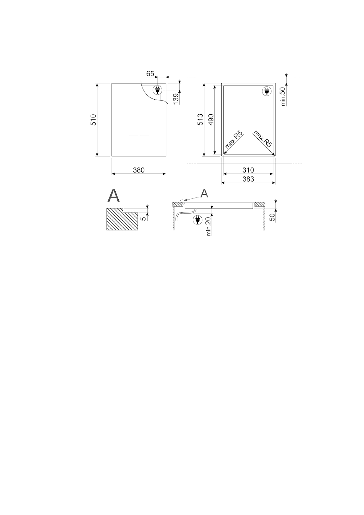